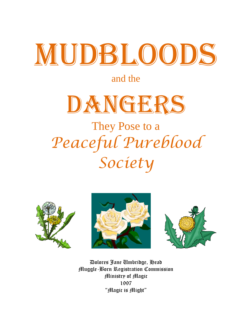# WUDBLOODS

# and the



# They Pose to a *Peaceful Pureblood Society*







Dolores Jane Umbridge, Head Muggle-Born Registration Commission Ministry of Magic 1997 "Magic is Might"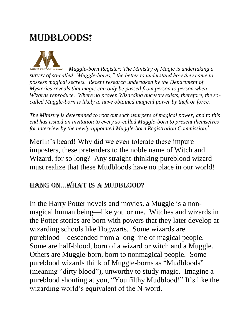# **MUDBLOODS!**



 *Muggle-born Register: The Ministry of Magic is undertaking a survey of so-called "Muggle-borns," the better to understand how they came to possess magical secrets. Recent research undertaken by the Department of Mysteries reveals that magic can only be passed from person to person when Wizards reproduce. Where no proven Wizarding ancestry exists, therefore, the socalled Muggle-born is likely to have obtained magical power by theft or force.*

*The Ministry is determined to root out such usurpers of magical power, and to this end has issued an invitation to every so-called Muggle-born to present themselves for interview by the newly-appointed Muggle-born Registration Commission.<sup>1</sup>*

Merlin's beard! Why did we even tolerate these impure imposters, these pretenders to the noble name of Witch and Wizard, for so long? Any straight-thinking pureblood wizard must realize that these Mudbloods have no place in our world!

#### HANG ON...WHAT IS A MUDBLOOD?

In the Harry Potter novels and movies, a Muggle is a nonmagical human being—like you or me. Witches and wizards in the Potter stories are born with powers that they later develop at wizarding schools like Hogwarts. Some wizards are pureblood—descended from a long line of magical people. Some are half-blood, born of a wizard or witch and a Muggle. Others are Muggle-born, born to nonmagical people. Some pureblood wizards think of Muggle-borns as "Mudbloods" (meaning "dirty blood"), unworthy to study magic. Imagine a pureblood shouting at you, "You filthy Mudblood!" It's like the wizarding world's equivalent of the N-word.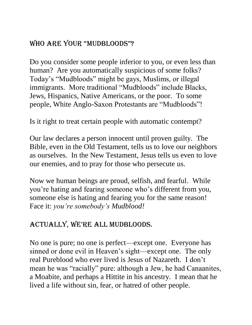## WHO ARE YOUR "MUDBLOODS"?

Do you consider some people inferior to you, or even less than human? Are you automatically suspicious of some folks? Today's "Mudbloods" might be gays, Muslims, or illegal immigrants. More traditional "Mudbloods" include Blacks, Jews, Hispanics, Native Americans, or the poor. To some people, White Anglo-Saxon Protestants are "Mudbloods"!

Is it right to treat certain people with automatic contempt?

Our law declares a person innocent until proven guilty. The Bible, even in the Old Testament, tells us to love our neighbors as ourselves. In the New Testament, Jesus tells us even to love our enemies, and to pray for those who persecute us.

Now we human beings are proud, selfish, and fearful. While you're hating and fearing someone who's different from you, someone else is hating and fearing you for the same reason! Face it: *you're somebody's Mudblood!*

### actually, we're all mudbloods.

No one is pure; no one is perfect—except one. Everyone has sinned or done evil in Heaven's sight—except one. The only real Pureblood who ever lived is Jesus of Nazareth. I don't mean he was "racially" pure: although a Jew, he had Canaanites, a Moabite, and perhaps a Hittite in his ancestry. I mean that he lived a life without sin, fear, or hatred of other people.